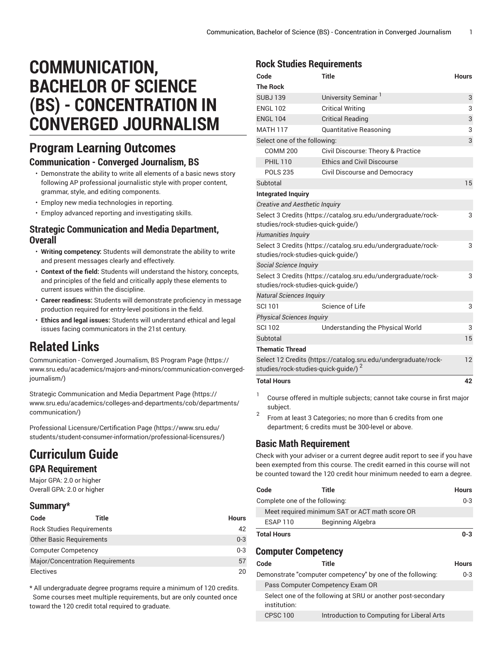# **COMMUNICATION, BACHELOR OF SCIENCE (BS) - CONCENTRATION IN CONVERGED JOURNALISM**

# **Program Learning Outcomes**

### **Communication - Converged Journalism, BS**

- Demonstrate the ability to write all elements of a basic news story following AP professional journalistic style with proper content, grammar, style, and editing components.
- Employ new media technologies in reporting.
- Employ advanced reporting and investigating skills.

### **Strategic Communication and Media Department, Overall**

- **Writing competency:** Students will demonstrate the ability to write and present messages clearly and effectively.
- **Context of the field:** Students will understand the history, concepts, and principles of the field and critically apply these elements to current issues within the discipline.
- **Career readiness:** Students will demonstrate proficiency in message production required for entry-level positions in the field.
- **Ethics and legal issues:** Students will understand ethical and legal issues facing communicators in the 21st century.

# **Related Links**

[Communication](https://www.sru.edu/academics/majors-and-minors/communication-converged-journalism/) - Converged Journalism, BS Program Page [\(https://](https://www.sru.edu/academics/majors-and-minors/communication-converged-journalism/) [www.sru.edu/academics/majors-and-minors/communication-converged](https://www.sru.edu/academics/majors-and-minors/communication-converged-journalism/)[journalism/](https://www.sru.edu/academics/majors-and-minors/communication-converged-journalism/))

Strategic [Communication](https://www.sru.edu/academics/colleges-and-departments/cob/departments/communication/) and Media Department Page ([https://](https://www.sru.edu/academics/colleges-and-departments/cob/departments/communication/) [www.sru.edu/academics/colleges-and-departments/cob/departments/](https://www.sru.edu/academics/colleges-and-departments/cob/departments/communication/) [communication/\)](https://www.sru.edu/academics/colleges-and-departments/cob/departments/communication/)

Professional [Licensure/Certification](https://www.sru.edu/students/student-consumer-information/professional-licensures/) Page ([https://www.sru.edu/](https://www.sru.edu/students/student-consumer-information/professional-licensures/) [students/student-consumer-information/professional-licensures/\)](https://www.sru.edu/students/student-consumer-information/professional-licensures/)

# **Curriculum Guide**

#### **GPA Requirement**

Major GPA: 2.0 or higher Overall GPA: 2.0 or higher

# **Summary\***

| Code                            | Title                                   | <b>Hours</b> |
|---------------------------------|-----------------------------------------|--------------|
|                                 | <b>Rock Studies Requirements</b>        | 42           |
| <b>Other Basic Requirements</b> |                                         | $0 - 3$      |
| <b>Computer Competency</b>      |                                         | $0 - 3$      |
|                                 | <b>Major/Concentration Requirements</b> | 57           |
| <b>Electives</b>                |                                         | 20           |

\* All undergraduate degree programs require a minimum of 120 credits. Some courses meet multiple requirements, but are only counted once toward the 120 credit total required to graduate.

## **Rock Studies Requirements**

| Code                                            | <b>Title</b>                                                           | <b>Hours</b> |
|-------------------------------------------------|------------------------------------------------------------------------|--------------|
| <b>The Rock</b>                                 |                                                                        |              |
| <b>SUBJ139</b>                                  | University Seminar                                                     | 3            |
| <b>ENGL 102</b>                                 | <b>Critical Writing</b>                                                | 3            |
| <b>ENGL 104</b>                                 | <b>Critical Reading</b>                                                | 3            |
| <b>MATH 117</b>                                 | Quantitative Reasoning                                                 | 3            |
| Select one of the following:                    |                                                                        | 3            |
| <b>COMM 200</b>                                 | Civil Discourse: Theory & Practice                                     |              |
| <b>PHIL 110</b>                                 | <b>Ethics and Civil Discourse</b>                                      |              |
| <b>POLS 235</b>                                 | <b>Civil Discourse and Democracy</b>                                   |              |
| Subtotal                                        |                                                                        | 15           |
| <b>Integrated Inquiry</b>                       |                                                                        |              |
| <b>Creative and Aesthetic Inquiry</b>           |                                                                        |              |
|                                                 | Select 3 Credits (https://catalog.sru.edu/undergraduate/rock-          | 3            |
| studies/rock-studies-quick-guide/)              |                                                                        |              |
| <b>Humanities Inquiry</b>                       |                                                                        |              |
| studies/rock-studies-quick-guide/)              | Select 3 Credits (https://catalog.sru.edu/undergraduate/rock-          | 3            |
| Social Science Inquiry                          |                                                                        |              |
| studies/rock-studies-quick-quide/)              | Select 3 Credits (https://catalog.sru.edu/undergraduate/rock-          | 3            |
| <b>Natural Sciences Inquiry</b>                 |                                                                        |              |
| <b>SCI 101</b>                                  | Science of Life                                                        | 3            |
| <b>Physical Sciences Inquiry</b>                |                                                                        |              |
| <b>SCI 102</b>                                  | Understanding the Physical World                                       | 3            |
| Subtotal                                        |                                                                        | 15           |
| <b>Thematic Thread</b>                          |                                                                        |              |
| studies/rock-studies-quick-guide/) <sup>2</sup> | Select 12 Credits (https://catalog.sru.edu/undergraduate/rock-         | 12           |
| <b>Total Hours</b>                              |                                                                        | 42           |
| 1                                               | Course offered in multiple subjects: cannot take course in first major |              |

- Course offered in multiple subjects; cannot take course in first major subject.
- 2 From at least 3 Categories; no more than 6 credits from one department; 6 credits must be 300-level or above.

# **Basic Math Requirement**

Check with your adviser or a current degree audit report to see if you have been exempted from this course. The credit earned in this course will not be counted toward the 120 credit hour minimum needed to earn a degree.

| Code                           | Title                                          | <b>Hours</b> |
|--------------------------------|------------------------------------------------|--------------|
| Complete one of the following: |                                                | $0 - 3$      |
|                                | Meet required minimum SAT or ACT math score OR |              |
| <b>ESAP 110</b>                | Beginning Algebra                              |              |
| <b>Total Hours</b>             |                                                | $0 - 3$      |

## **Computer Competency**

| Code            | Title                                                        | <b>Hours</b> |
|-----------------|--------------------------------------------------------------|--------------|
|                 | Demonstrate "computer competency" by one of the following:   | $0 - 3$      |
|                 | Pass Computer Competency Exam OR                             |              |
| institution:    | Select one of the following at SRU or another post-secondary |              |
| <b>CPSC 100</b> | Introduction to Computing for Liberal Arts                   |              |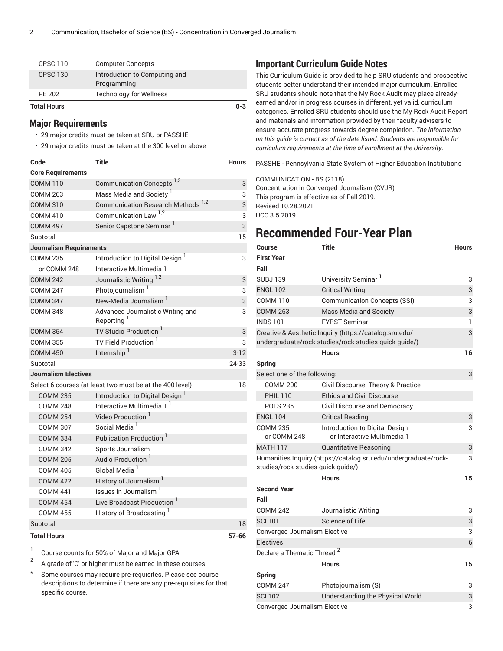| Total Hours         |                                              | $0 - 3$ |
|---------------------|----------------------------------------------|---------|
| PE 202              | <b>Technology for Wellness</b>               |         |
| <b>CPSC 130</b>     | Introduction to Computing and<br>Programming |         |
| CPSC <sub>110</sub> | <b>Computer Concepts</b>                     |         |

#### **Major Requirements**

• 29 major credits must be taken at SRU or PASSHE

• 29 major credits must be taken at the 300 level or above

| Code                           | Title                                                       | <b>Hours</b> |
|--------------------------------|-------------------------------------------------------------|--------------|
| <b>Core Requirements</b>       |                                                             |              |
| <b>COMM 110</b>                | Communication Concepts <sup>1,2</sup>                       | 3            |
| <b>COMM 263</b>                | Mass Media and Society <sup>1</sup>                         | 3            |
| <b>COMM 310</b>                | Communication Research Methods <sup>1,2</sup>               | 3            |
| <b>COMM 410</b>                | Communication Law <sup>1,2</sup>                            | 3            |
| <b>COMM 497</b>                | Senior Capstone Seminar                                     | 3            |
| Subtotal                       |                                                             | 15           |
| <b>Journalism Requirements</b> |                                                             |              |
| <b>COMM 235</b>                | Introduction to Digital Design <sup>1</sup>                 | 3            |
| or COMM 248                    | Interactive Multimedia 1                                    |              |
| <b>COMM 242</b>                | Journalistic Writing 1,2                                    | 3            |
| <b>COMM 247</b>                | Photojournalism <sup>1</sup>                                | 3            |
| <b>COMM 347</b>                | New-Media Journalism <sup>1</sup>                           | 3            |
| <b>COMM 348</b>                | Advanced Journalistic Writing and<br>Reporting <sup>1</sup> | 3            |
| <b>COMM 354</b>                | TV Studio Production <sup>1</sup>                           | 3            |
| <b>COMM 355</b>                | TV Field Production <sup>1</sup>                            | 3            |
| <b>COMM 450</b>                | Internship <sup>1</sup>                                     | $3-12$       |
| Subtotal                       |                                                             | 24-33        |
| <b>Journalism Electives</b>    |                                                             |              |
|                                | Select 6 courses (at least two must be at the 400 level)    | 18           |
| <b>COMM 235</b>                | Introduction to Digital Design <sup>1</sup>                 |              |
| <b>COMM 248</b>                | Interactive Multimedia 1                                    |              |
| <b>COMM 254</b>                | Video Production <sup>1</sup>                               |              |
| <b>COMM 307</b>                | Social Media <sup>1</sup>                                   |              |
| <b>COMM 334</b>                | Publication Production <sup>1</sup>                         |              |
| <b>COMM 342</b>                | Sports Journalism                                           |              |
| <b>COMM 205</b>                | Audio Production '                                          |              |
| <b>COMM 405</b>                | Global Media <sup>1</sup>                                   |              |
| <b>COMM 422</b>                | History of Journalism <sup>1</sup>                          |              |
| <b>COMM 441</b>                | Issues in Journalism <sup>1</sup>                           |              |
| <b>COMM 454</b>                | Live Broadcast Production <sup>1</sup>                      |              |
| <b>COMM 455</b>                | History of Broadcasting <sup>1</sup>                        |              |
| Subtotal                       |                                                             | 18           |
| <b>Total Hours</b>             |                                                             | $57 - 66$    |

1 Course counts for 50% of Major and Major GPA

2 A grade of 'C' or higher must be earned in these courses

\* Some courses may require pre-requisites. Please see course descriptions to determine if there are any pre-requisites for that specific course.

#### **Important Curriculum Guide Notes**

This Curriculum Guide is provided to help SRU students and prospective students better understand their intended major curriculum. Enrolled SRU students should note that the My Rock Audit may place alreadyearned and/or in progress courses in different, yet valid, curriculum categories. Enrolled SRU students should use the My Rock Audit Report and materials and information provided by their faculty advisers to ensure accurate progress towards degree completion. *The information on this guide is current as of the date listed. Students are responsible for curriculum requirements at the time of enrollment at the University*.

PASSHE - Pennsylvania State System of Higher Education Institutions

COMMUNICATION - BS (2118) Concentration in Converged Journalism (CVJR) This program is effective as of Fall 2019. Revised 10.28.2021 UCC 3.5.2019

# **Recommended Four-Year Plan**

| Course                                 | <b>Title</b>                                                    | <b>Hours</b> |
|----------------------------------------|-----------------------------------------------------------------|--------------|
| First Year                             |                                                                 |              |
| Fall                                   |                                                                 |              |
| SUBJ 139                               | University Seminar <sup>1</sup>                                 | 3            |
| <b>ENGL 102</b>                        | <b>Critical Writing</b>                                         | 3            |
| <b>COMM 110</b>                        | <b>Communication Concepts (SSI)</b>                             | 3            |
| <b>COMM 263</b>                        | Mass Media and Society                                          | 3            |
| <b>INDS 101</b>                        | <b>FYRST Seminar</b>                                            | 1            |
|                                        | Creative & Aesthetic Inquiry (https://catalog.sru.edu/          | 3            |
|                                        | undergraduate/rock-studies/rock-studies-quick-guide/)           |              |
|                                        | <b>Hours</b>                                                    | 16           |
| Spring                                 |                                                                 |              |
| Select one of the following:           |                                                                 | 3            |
| <b>COMM 200</b>                        | Civil Discourse: Theory & Practice                              |              |
| <b>PHIL 110</b>                        | <b>Ethics and Civil Discourse</b>                               |              |
| <b>POLS 235</b>                        | <b>Civil Discourse and Democracy</b>                            |              |
| <b>ENGL 104</b>                        | <b>Critical Reading</b>                                         | 3            |
| <b>COMM 235</b><br>or COMM 248         | Introduction to Digital Design<br>or Interactive Multimedia 1   | 3            |
| <b>MATH 117</b>                        | Quantitative Reasoning                                          | 3            |
| studies/rock-studies-quick-guide/)     | Humanities Inquiry (https://catalog.sru.edu/undergraduate/rock- | 3            |
|                                        | <b>Hours</b>                                                    | 15           |
| <b>Second Year</b>                     |                                                                 |              |
| Fall                                   |                                                                 |              |
| <b>COMM 242</b>                        | Journalistic Writing                                            | 3            |
| <b>SCI 101</b>                         | Science of Life                                                 | 3            |
| Converged Journalism Elective          |                                                                 | 3            |
| <b>Electives</b>                       |                                                                 | 6            |
| Declare a Thematic Thread <sup>2</sup> |                                                                 |              |
|                                        | <b>Hours</b>                                                    | 15           |
| Spring                                 |                                                                 |              |
| <b>COMM 247</b>                        | Photojournalism (S)                                             | 3            |
| <b>SCI 102</b>                         | Understanding the Physical World                                | 3            |
| Converged Journalism Elective          |                                                                 | 3            |